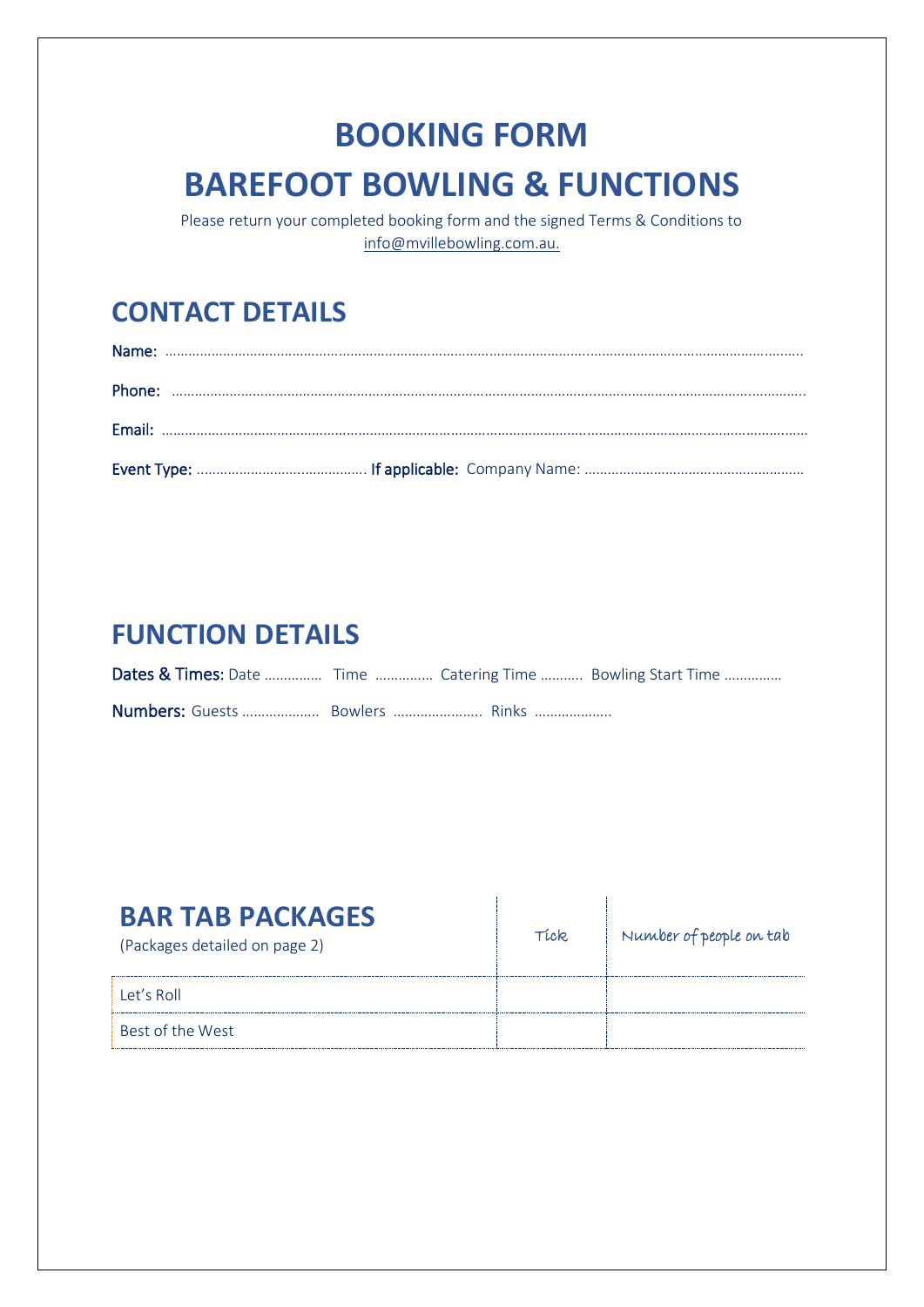# **BOOKING FORM BAREFOOT BOWLING & FUNCTIONS**

Please return your completed booking form and the signed Terms & Conditions to [info@mvillebowling.com.au.](mailto:info@mvillebowling.com.au)

### **CONTACT DETAILS**

### **FUNCTION DETAILS**

| Dates & Times: Date  Time  Catering Time  Bowling Start Time |  |  |
|--------------------------------------------------------------|--|--|
| Numbers: Guests  Bowlers  Rinks                              |  |  |

| <b>BAR TAB PACKAGES</b><br>(Packages detailed on page 2) | TLCR. | Number of people on tab |
|----------------------------------------------------------|-------|-------------------------|
| Let's Roll                                               |       |                         |
| Best of the West                                         |       |                         |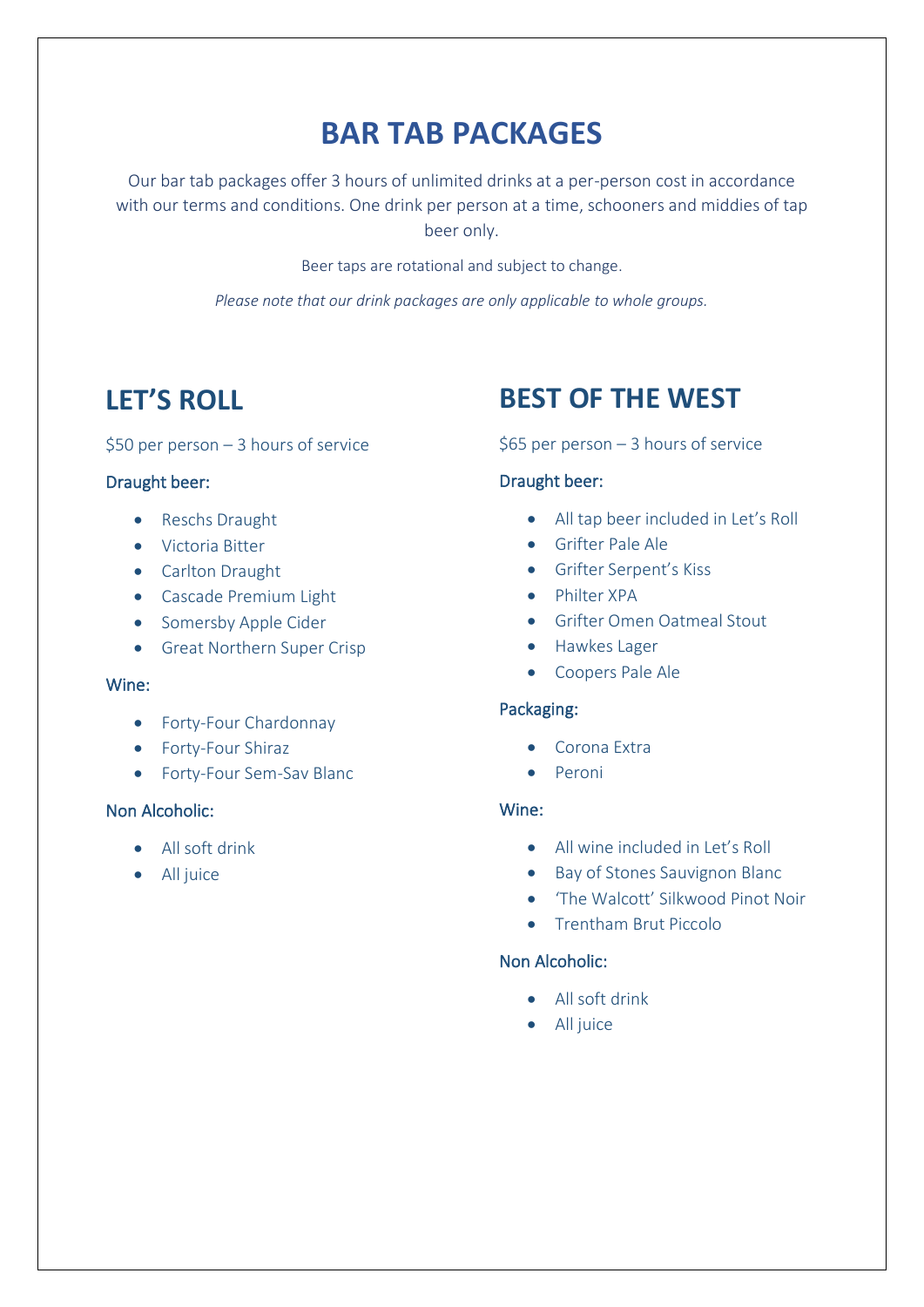## **BAR TAB PACKAGES**

Our bar tab packages offer 3 hours of unlimited drinks at a per-person cost in accordance with our terms and conditions. One drink per person at a time, schooners and middies of tap beer only.

Beer taps are rotational and subject to change.

*Please note that our drink packages are only applicable to whole groups.*

### **LET'S ROLL**

#### \$50 per person – 3 hours of service

### Draught beer:

- Reschs Draught
- Victoria Bitter
- Carlton Draught
- Cascade Premium Light
- Somersby Apple Cider
- Great Northern Super Crisp

#### Wine:

- Forty-Four Chardonnay
- Forty-Four Shiraz
- Forty-Four Sem-Sav Blanc

### Non Alcoholic:

- All soft drink
- All juice

### **BEST OF THE WEST**

#### \$65 per person – 3 hours of service

### Draught beer:

- All tap beer included in Let's Roll
- Grifter Pale Ale
- Grifter Serpent's Kiss
- Philter XPA
- Grifter Omen Oatmeal Stout
- Hawkes Lager
- Coopers Pale Ale

#### Packaging:

- Corona Extra
- Peroni

### Wine:

- All wine included in Let's Roll
- Bay of Stones Sauvignon Blanc
- 'The Walcott' Silkwood Pinot Noir
- Trentham Brut Piccolo

### Non Alcoholic:

- All soft drink
- All juice